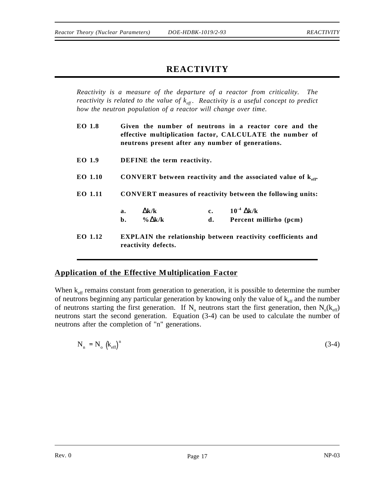# **[REACTIVITY](#page--1-0)**

*Reactivity is a measure of the departure of a reactor from criticality. The reactivity is related to the value of*  $k_{\text{eff}}$ . Reactivity is a useful concept to predict *how the neutron population of a reactor will change over time.*

**EO 1.8 Given the number of neutrons in a reactor core and the effective multiplication factor, CALCULATE the number of neutrons present after any number of generations. EO 1.9 DEFINE the term reactivity. EO 1.10** CONVERT between reactivity and the associated value of  $k_{eff}$ . **EO 1.11 CONVERT measures of reactivity between the following units: a.** ∆**k/k c. 10-4** ∆**k/k b. %**∆**k/k d. Percent millirho (pcm) EO 1.12 EXPLAIN the relationship between reactivity coefficients and reactivity defects.**

### **Application of the Effective [Multiplication](#page--1-0) Factor**

When  $k<sub>eff</sub>$  remains constant from generation to generation, it is possible to determine the number of neutrons beginning any particular generation by knowing only the value of  $k_{\text{eff}}$  and the number of neutrons starting the first generation. If N<sub>o</sub> neutrons start the first generation, then  $N_0(k_{eff})$ neutrons start the second generation. Equation (3-4) can be used to calculate the number of neutrons after the completion of "n" generations.

$$
N_n = N_o \left( k_{eff} \right)^n \tag{3-4}
$$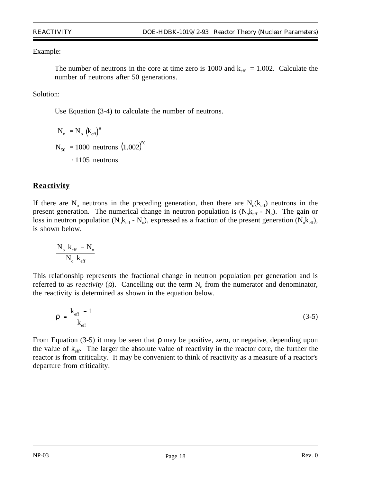Example:

The number of neutrons in the core at time zero is 1000 and  $k_{\text{eff}} = 1.002$ . Calculate the number of neutrons after 50 generations.

### Solution:

Use Equation (3-4) to calculate the number of neutrons.

 $N_n = N_o (k_{\text{eff}})^n$  $N_{50}$  = 1000 neutrons  $(1.002)^{50}$  $= 1105$  neutrons

## **[Reactivity](#page--1-0)**

If there are N<sub>o</sub> neutrons in the preceding generation, then there are  $N_o(k_{eff})$  neutrons in the present generation. The numerical change in neutron population is  $(N_0k_{\text{eff}} - N_0)$ . The gain or loss in neutron population (N<sub>o</sub>k<sub>eff</sub> - N<sub>o</sub>), expressed as a fraction of the present generation (N<sub>o</sub>k<sub>eff</sub>), is shown below.

$$
\frac{N_{\rm o} k_{\rm eff} - N_{\rm o}}{N_{\rm o} k_{\rm eff}}
$$

This relationship represents the fractional change in neutron population per generation and is referred to as *reactivity* (ρ). Cancelling out the term  $N_0$  from the numerator and denominator, the reactivity is determined as shown in the equation below.

$$
\rho = \frac{k_{\text{eff}} - 1}{k_{\text{eff}}} \tag{3-5}
$$

From Equation (3-5) it may be seen that  $\rho$  may be positive, zero, or negative, depending upon the value of  $k_{eff}$ . The larger the absolute value of reactivity in the reactor core, the further the reactor is from criticality. It may be convenient to think of reactivity as a measure of a reactor's departure from criticality.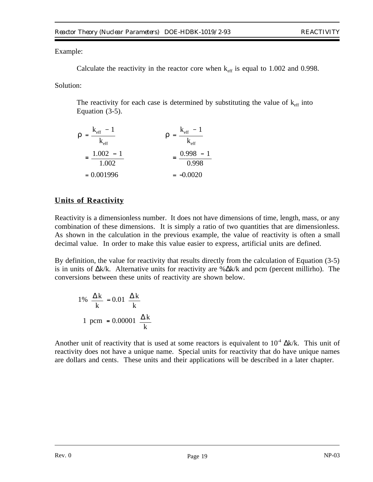Example:

Calculate the reactivity in the reactor core when  $k_{\text{eff}}$  is equal to 1.002 and 0.998.

Solution:

The reactivity for each case is determined by substituting the value of  $k_{\text{eff}}$  into Equation (3-5).

$$
\rho = \frac{k_{\text{eff}} - 1}{k_{\text{eff}}} \qquad \qquad \rho = \frac{k_{\text{eff}} - 1}{k_{\text{eff}}}
$$

$$
= \frac{1.002 - 1}{1.002} = \frac{0.998 - 1}{0.998}
$$

$$
= 0.001996 = -0.0020
$$

## **Units of [Reactivity](#page--1-0)**

Reactivity is a dimensionless number. It does not have dimensions of time, length, mass, or any combination of these dimensions. It is simply a ratio of two quantities that are dimensionless. As shown in the calculation in the previous example, the value of reactivity is often a small decimal value. In order to make this value easier to express, artificial units are defined.

By definition, the value for reactivity that results directly from the calculation of Equation (3-5) is in units of ∆k/k. Alternative units for reactivity are %∆k/k and pcm (percent millirho). The conversions between these units of reactivity are shown below.

$$
1\% \frac{\Delta k}{k} = 0.01 \frac{\Delta k}{k}
$$
  
1 perm = 0.00001  $\frac{\Delta k}{k}$ 

Another unit of reactivity that is used at some reactors is equivalent to  $10^4$   $\Delta k/k$ . This unit of reactivity does not have a unique name. Special units for reactivity that do have unique names are dollars and cents. These units and their applications will be described in a later chapter.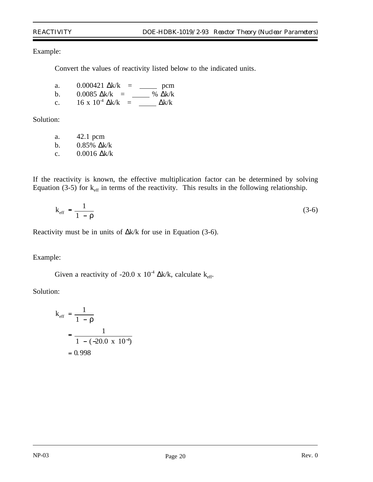*REACTIVITY DOE-HDBK-1019/2-93 Reactor Theory (Nuclear Parameters)*

### Example:

Convert the values of reactivity listed below to the indicated units.

| a.           | $0.000421 \Delta k/k$<br>$=$<br>pcm                        |  |
|--------------|------------------------------------------------------------|--|
| $\mathbf{h}$ | $0.0085 \Delta k/k$ =<br>% $\Delta k/k$                    |  |
| C.           | $16 \times 10^{-4} \Delta k/k$<br>$\Delta k/k$<br>$\equiv$ |  |

Solution:

a. 42.1 pcm b. 0.85% ∆k/k c. 0.0016 ∆k/k

If the reactivity is known, the effective multiplication factor can be determined by solving Equation (3-5) for  $k_{\text{eff}}$  in terms of the reactivity. This results in the following relationship.

$$
k_{\rm eff} = \frac{1}{1 - \rho} \tag{3-6}
$$

Reactivity must be in units of ∆k/k for use in Equation (3-6).

Example:

Given a reactivity of -20.0 x  $10^{-4}$   $\Delta k/k$ , calculate  $k_{eff}$ .

Solution:

$$
k_{\text{eff}} = \frac{1}{1 - \rho}
$$
  
= 
$$
\frac{1}{1 - (-20.0 \times 10^{-4})}
$$
  
= 0.998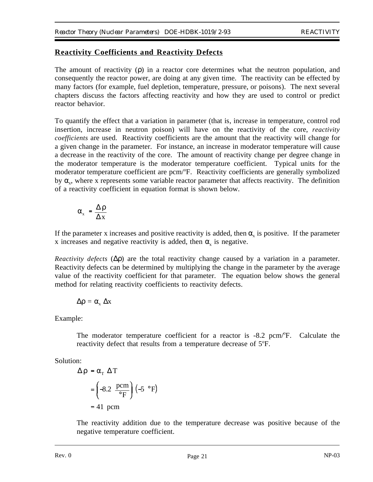## **Reactivity [Coefficients](#page--1-0) and Reactivity Defects**

The amount of reactivity (ρ) in a reactor core determines what the neutron population, and consequently the reactor power, are doing at any given time. The reactivity can be effected by many factors (for example, fuel depletion, temperature, pressure, or poisons). The next several chapters discuss the factors affecting reactivity and how they are used to control or predict reactor behavior.

To quantify the effect that a variation in parameter (that is, increase in temperature, control rod insertion, increase in neutron poison) will have on the reactivity of the core, *reactivity coefficients* are used. Reactivity coefficients are the amount that the reactivity will change for a given change in the parameter. For instance, an increase in moderator temperature will cause a decrease in the reactivity of the core. The amount of reactivity change per degree change in the moderator temperature is the moderator temperature coefficient. Typical units for the moderator temperature coefficient are pcm/°F. Reactivity coefficients are generally symbolized by  $\alpha_{x}$ , where x represents some variable reactor parameter that affects reactivity. The definition of a reactivity coefficient in equation format is shown below.

$$
\alpha_{x} = \frac{\Delta \rho}{\Delta x}
$$

If the parameter x increases and positive reactivity is added, then  $\alpha_x$  is positive. If the parameter x increases and negative reactivity is added, then  $\alpha$ <sub>x</sub> is negative.

*Reactivity defects* ( $\Delta \rho$ ) are the total reactivity change caused by a variation in a parameter. Reactivity defects can be determined by multiplying the change in the parameter by the average value of the reactivity coefficient for that parameter. The equation below shows the general method for relating reactivity coefficients to reactivity defects.

$$
\Delta\rho=\alpha_x\;\Delta x
$$

Example:

The moderator temperature coefficient for a reactor is -8.2 pcm/°F. Calculate the reactivity defect that results from a temperature decrease of 5°F.

Solution:

$$
\Delta \rho = \alpha_{\rm T} \Delta T
$$
  
=  $\left( -8.2 \frac{\text{pcm}}{\text{°F}} \right) \left( -5 \text{ °F} \right)$   
= 41 pcm

The reactivity addition due to the temperature decrease was positive because of the negative temperature coefficient.